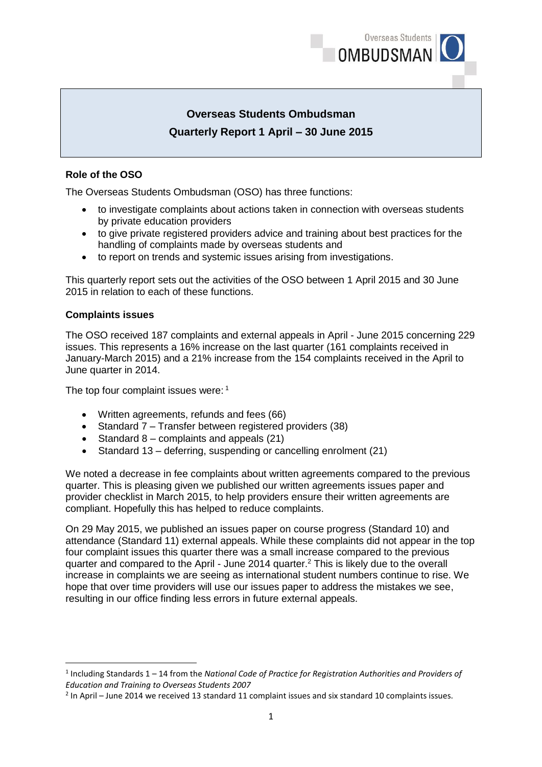

# **Overseas Students Ombudsman Quarterly Report 1 April – 30 June 2015**

# **Role of the OSO**

The Overseas Students Ombudsman (OSO) has three functions:

- to investigate complaints about actions taken in connection with overseas students by private education providers
- to give private registered providers advice and training about best practices for the handling of complaints made by overseas students and
- to report on trends and systemic issues arising from investigations.

This quarterly report sets out the activities of the OSO between 1 April 2015 and 30 June 2015 in relation to each of these functions.

## **Complaints issues**

**.** 

The OSO received 187 complaints and external appeals in April - June 2015 concerning 229 issues. This represents a 16% increase on the last quarter (161 complaints received in January-March 2015) and a 21% increase from the 154 complaints received in the April to June quarter in 2014.

The top four complaint issues were: 1

- Written agreements, refunds and fees (66)
- Standard 7 Transfer between registered providers (38)
- Standard  $8$  complaints and appeals  $(21)$
- Standard 13 deferring, suspending or cancelling enrolment (21)

We noted a decrease in fee complaints about written agreements compared to the previous quarter. This is pleasing given we published our written agreements issues paper and provider checklist in March 2015, to help providers ensure their written agreements are compliant. Hopefully this has helped to reduce complaints.

On 29 May 2015, we published an issues paper on course progress (Standard 10) and attendance (Standard 11) external appeals. While these complaints did not appear in the top four complaint issues this quarter there was a small increase compared to the previous quarter and compared to the April - June 2014 quarter.<sup>2</sup> This is likely due to the overall increase in complaints we are seeing as international student numbers continue to rise. We hope that over time providers will use our issues paper to address the mistakes we see, resulting in our office finding less errors in future external appeals.

<sup>&</sup>lt;sup>1</sup> Including Standards 1 – 14 from the National Code of Practice for Registration Authorities and Providers of *Education and Training to Overseas Students 2007*

 $2$  In April – June 2014 we received 13 standard 11 complaint issues and six standard 10 complaints issues.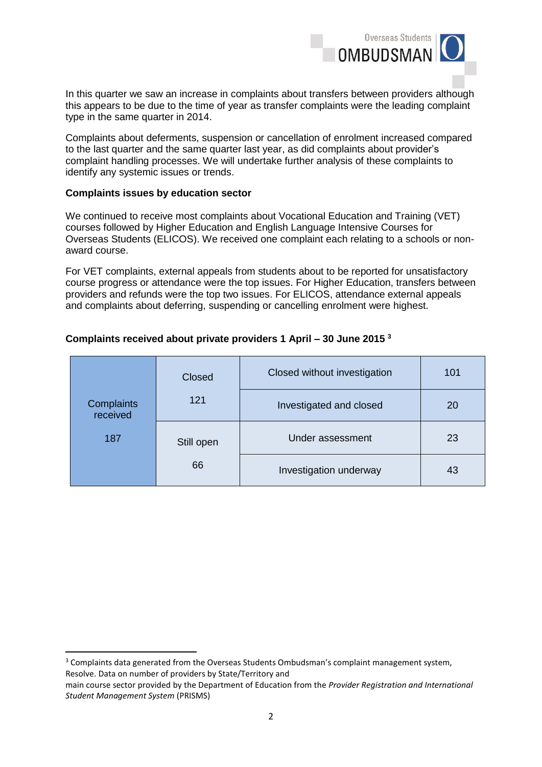

In this quarter we saw an increase in complaints about transfers between providers although this appears to be due to the time of year as transfer complaints were the leading complaint type in the same quarter in 2014.

Complaints about deferments, suspension or cancellation of enrolment increased compared to the last quarter and the same quarter last year, as did complaints about provider's complaint handling processes. We will undertake further analysis of these complaints to identify any systemic issues or trends.

#### **Complaints issues by education sector**

**.** 

We continued to receive most complaints about Vocational Education and Training (VET) courses followed by Higher Education and English Language Intensive Courses for Overseas Students (ELICOS). We received one complaint each relating to a schools or nonaward course.

For VET complaints, external appeals from students about to be reported for unsatisfactory course progress or attendance were the top issues. For Higher Education, transfers between providers and refunds were the top two issues. For ELICOS, attendance external appeals and complaints about deferring, suspending or cancelling enrolment were highest.

## **Complaints received about private providers 1 April – 30 June 2015 <sup>3</sup>**

|                        | Closed                 | Closed without investigation | 101 |
|------------------------|------------------------|------------------------------|-----|
| Complaints<br>received | 121                    | Investigated and closed      | 20  |
| 187                    | Still open             | Under assessment             | 23  |
| 66                     | Investigation underway | 43                           |     |

<sup>&</sup>lt;sup>3</sup> Complaints data generated from the Overseas Students Ombudsman's complaint management system, Resolve. Data on number of providers by State/Territory and

main course sector provided by the Department of Education from the *Provider Registration and International Student Management System* (PRISMS)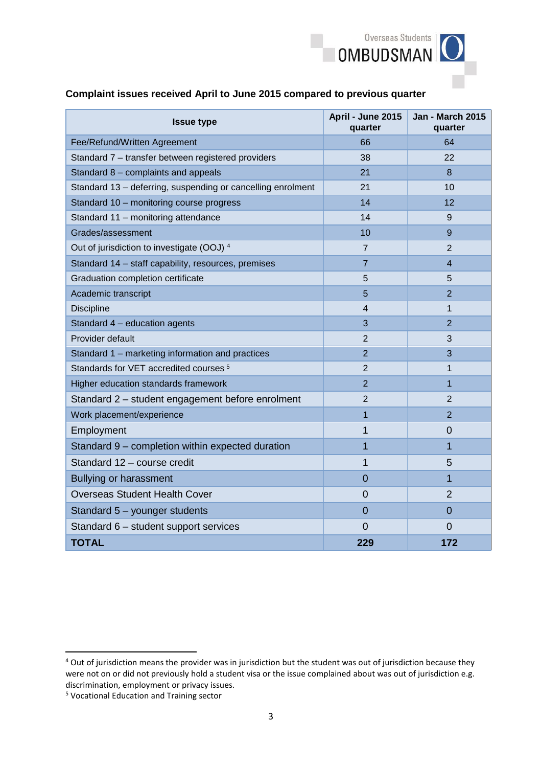

# **Complaint issues received April to June 2015 compared to previous quarter**

| <b>Issue type</b>                                           | April - June 2015<br>quarter | <b>Jan - March 2015</b><br>quarter |
|-------------------------------------------------------------|------------------------------|------------------------------------|
| Fee/Refund/Written Agreement                                | 66                           | 64                                 |
| Standard 7 - transfer between registered providers          | 38                           | 22                                 |
| Standard 8 - complaints and appeals                         | 21                           | 8                                  |
| Standard 13 - deferring, suspending or cancelling enrolment | 21                           | 10                                 |
| Standard 10 - monitoring course progress                    | 14                           | 12                                 |
| Standard 11 - monitoring attendance                         | 14                           | 9                                  |
| Grades/assessment                                           | 10                           | 9                                  |
| Out of jurisdiction to investigate (OOJ) 4                  | $\overline{7}$               | 2                                  |
| Standard 14 - staff capability, resources, premises         | $\overline{7}$               | $\overline{4}$                     |
| Graduation completion certificate                           | 5                            | 5                                  |
| Academic transcript                                         | 5                            | $\overline{2}$                     |
| <b>Discipline</b>                                           | 4                            | 1                                  |
| Standard 4 - education agents                               | 3                            | $\overline{2}$                     |
| Provider default                                            | $\overline{2}$               | 3                                  |
| Standard 1 - marketing information and practices            | 2                            | 3                                  |
| Standards for VET accredited courses <sup>5</sup>           | $\overline{2}$               | $\mathbf{1}$                       |
| Higher education standards framework                        | $\overline{2}$               | $\mathbf{1}$                       |
| Standard 2 - student engagement before enrolment            | $\overline{2}$               | $\overline{2}$                     |
| Work placement/experience                                   | $\overline{1}$               | $\overline{2}$                     |
| Employment                                                  | 1                            | $\overline{0}$                     |
| Standard 9 - completion within expected duration            | 1                            | 1                                  |
| Standard 12 - course credit                                 | 1                            | 5                                  |
| Bullying or harassment                                      | $\overline{0}$               | 1                                  |
| <b>Overseas Student Health Cover</b>                        | $\overline{0}$               | $\overline{2}$                     |
| Standard 5 - younger students                               | $\overline{0}$               | $\Omega$                           |
| Standard 6 - student support services                       | $\overline{0}$               | $\overline{0}$                     |
| <b>TOTAL</b>                                                | 229                          | 172                                |

**.** 

<sup>&</sup>lt;sup>4</sup> Out of jurisdiction means the provider was in jurisdiction but the student was out of jurisdiction because they were not on or did not previously hold a student visa or the issue complained about was out of jurisdiction e.g. discrimination, employment or privacy issues.

<sup>5</sup> Vocational Education and Training sector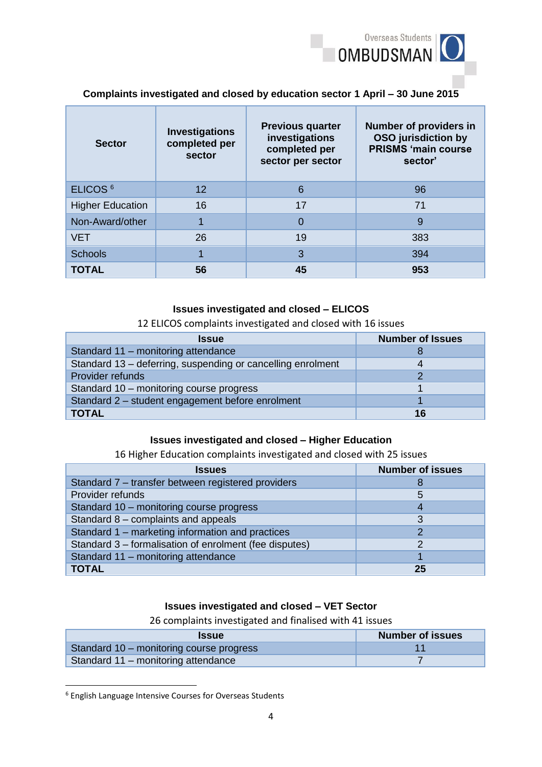

## **Complaints investigated and closed by education sector 1 April – 30 June 2015**

| <b>Sector</b>           | <b>Investigations</b><br>completed per<br>sector | <b>Previous quarter</b><br>investigations<br>completed per<br>sector per sector | <b>Number of providers in</b><br><b>OSO</b> jurisdiction by<br><b>PRISMS 'main course</b><br>sector' |
|-------------------------|--------------------------------------------------|---------------------------------------------------------------------------------|------------------------------------------------------------------------------------------------------|
| ELICOS <sup>6</sup>     | $12 \overline{ }$                                | 6                                                                               | 96                                                                                                   |
| <b>Higher Education</b> | 16                                               | 17                                                                              | 71                                                                                                   |
| Non-Award/other         |                                                  | $\Omega$                                                                        | 9                                                                                                    |
| <b>VET</b>              | 26                                               | 19                                                                              | 383                                                                                                  |
| <b>Schools</b>          |                                                  | 3                                                                               | 394                                                                                                  |
| <b>TOTAL</b>            | 56                                               | 45                                                                              | 953                                                                                                  |

## **Issues investigated and closed – ELICOS**

#### 12 ELICOS complaints investigated and closed with 16 issues

| <b>Issue</b>                                                | <b>Number of Issues</b> |
|-------------------------------------------------------------|-------------------------|
| Standard 11 - monitoring attendance                         |                         |
| Standard 13 - deferring, suspending or cancelling enrolment |                         |
| Provider refunds                                            |                         |
| Standard 10 - monitoring course progress                    |                         |
| Standard 2 - student engagement before enrolment            |                         |
| <b>TOTAL</b>                                                | 16                      |

#### **Issues investigated and closed – Higher Education**

#### 16 Higher Education complaints investigated and closed with 25 issues

| <b>Issues</b>                                          | <b>Number of issues</b> |
|--------------------------------------------------------|-------------------------|
| Standard 7 - transfer between registered providers     |                         |
| Provider refunds                                       | 5                       |
| Standard 10 - monitoring course progress               |                         |
| Standard 8 - complaints and appeals                    | 3                       |
| Standard 1 – marketing information and practices       |                         |
| Standard 3 – formalisation of enrolment (fee disputes) |                         |
| Standard 11 - monitoring attendance                    |                         |
| <b>TOTAL</b>                                           | 25                      |

## **Issues investigated and closed – VET Sector**

26 complaints investigated and finalised with 41 issues

| <b>Issue</b>                             | <b>Number of issues</b> |
|------------------------------------------|-------------------------|
| Standard 10 - monitoring course progress |                         |
| Standard 11 – monitoring attendance      |                         |

<sup>6</sup> English Language Intensive Courses for Overseas Students

**.**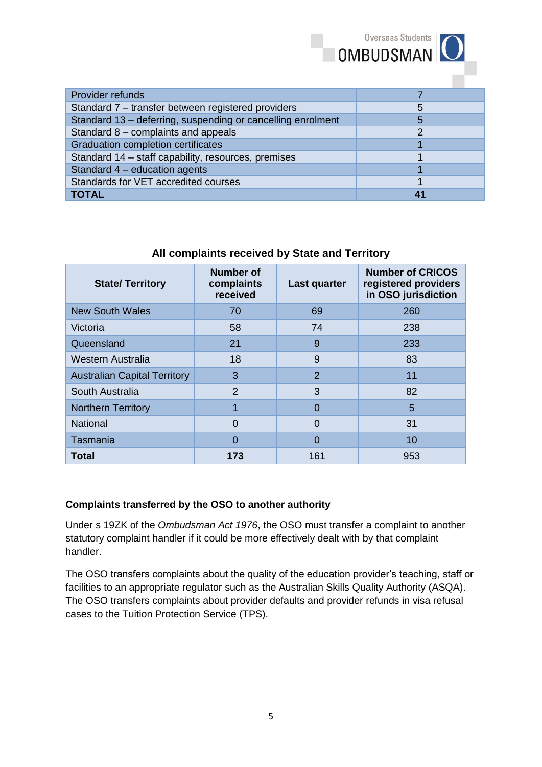| Provider refunds                                            |  |
|-------------------------------------------------------------|--|
| Standard 7 - transfer between registered providers          |  |
| Standard 13 - deferring, suspending or cancelling enrolment |  |
| Standard 8 - complaints and appeals                         |  |
| <b>Graduation completion certificates</b>                   |  |
| Standard 14 - staff capability, resources, premises         |  |
| Standard 4 - education agents                               |  |
| Standards for VET accredited courses                        |  |
| <b>TOTAL</b>                                                |  |

| <b>State/Territory</b>              | <b>Number of</b><br>complaints<br>received | Last quarter   | <b>Number of CRICOS</b><br>registered providers<br>in OSO jurisdiction |
|-------------------------------------|--------------------------------------------|----------------|------------------------------------------------------------------------|
| <b>New South Wales</b>              | 70                                         | 69             | 260                                                                    |
| Victoria                            | 58                                         | 74             | 238                                                                    |
| Queensland                          | 21                                         | 9              | 233                                                                    |
| Western Australia                   | 18                                         | 9              | 83                                                                     |
| <b>Australian Capital Territory</b> | 3                                          | $\overline{2}$ | 11                                                                     |
| South Australia                     | $\overline{2}$                             | 3              | 82                                                                     |
| <b>Northern Territory</b>           |                                            | 0              | 5                                                                      |
| <b>National</b>                     | $\Omega$                                   | $\Omega$       | 31                                                                     |
| Tasmania                            | ი                                          | $\Omega$       | 10                                                                     |
| <b>Total</b>                        | 173                                        | 161            | 953                                                                    |

# **All complaints received by State and Territory**

## **Complaints transferred by the OSO to another authority**

Under s 19ZK of the *Ombudsman Act 1976*, the OSO must transfer a complaint to another statutory complaint handler if it could be more effectively dealt with by that complaint handler.

The OSO transfers complaints about the quality of the education provider's teaching, staff or facilities to an appropriate regulator such as the Australian Skills Quality Authority (ASQA). The OSO transfers complaints about provider defaults and provider refunds in visa refusal cases to the Tuition Protection Service (TPS).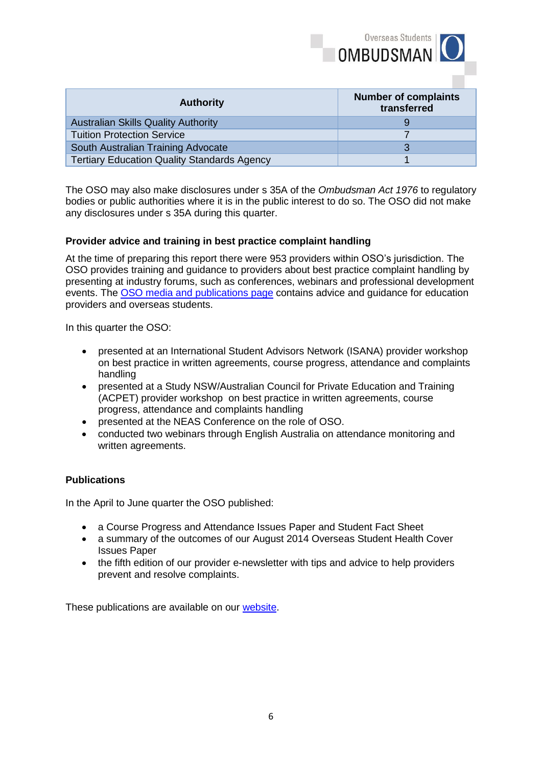

| <b>Authority</b>                                   | <b>Number of complaints</b><br>transferred |
|----------------------------------------------------|--------------------------------------------|
| <b>Australian Skills Quality Authority</b>         |                                            |
| <b>Tuition Protection Service</b>                  |                                            |
| South Australian Training Advocate                 |                                            |
| <b>Tertiary Education Quality Standards Agency</b> |                                            |

The OSO may also make disclosures under s 35A of the *Ombudsman Act 1976* to regulatory bodies or public authorities where it is in the public interest to do so. The OSO did not make any disclosures under s 35A during this quarter.

#### **Provider advice and training in best practice complaint handling**

At the time of preparing this report there were 953 providers within OSO's jurisdiction. The OSO provides training and guidance to providers about best practice complaint handling by presenting at industry forums, such as conferences, webinars and professional development events. The [OSO media and publications page](http://www.oso.gov.au/publications-and-media/) contains advice and guidance for education providers and overseas students.

In this quarter the OSO:

- presented at an International Student Advisors Network (ISANA) provider workshop on best practice in written agreements, course progress, attendance and complaints handling
- presented at a Study NSW/Australian Council for Private Education and Training (ACPET) provider workshop on best practice in written agreements, course progress, attendance and complaints handling
- presented at the NEAS Conference on the role of OSO.
- conducted two webinars through English Australia on attendance monitoring and written agreements.

#### **Publications**

In the April to June quarter the OSO published:

- a Course Progress and Attendance Issues Paper and Student Fact Sheet
- a summary of the outcomes of our August 2014 Overseas Student Health Cover **Issues Paper**
- the fifth edition of our provider e-newsletter with tips and advice to help providers prevent and resolve complaints.

These publications are available on our [website.](http://www.oso.gov.au/publications-and-media/)